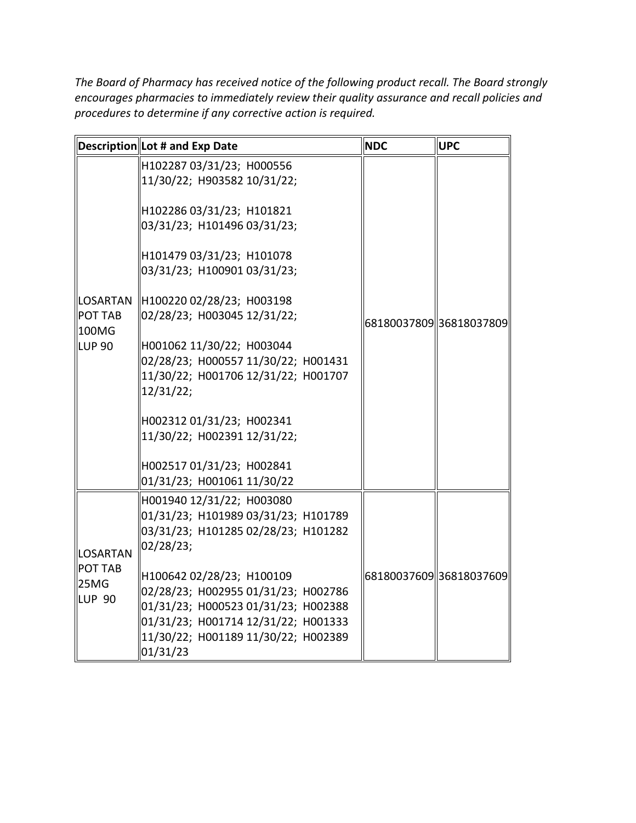*The Board of Pharmacy has received notice of the following product recall. The Board strongly encourages pharmacies to immediately review their quality assurance and recall policies and procedures to determine if any corrective action is required.* 

|                                                      | Description Lot # and Exp Date                                                                                                                                                                    | <b>NDC</b> | <b>UPC</b>             |
|------------------------------------------------------|---------------------------------------------------------------------------------------------------------------------------------------------------------------------------------------------------|------------|------------------------|
| LOSARTAN<br><b>POT TAB</b><br>100MG<br><b>LUP 90</b> | H102287 03/31/23; H000556<br>11/30/22; H903582 10/31/22;                                                                                                                                          |            |                        |
|                                                      | H102286 03/31/23; H101821<br>03/31/23; H101496 03/31/23;                                                                                                                                          |            |                        |
|                                                      | H101479 03/31/23; H101078<br>03/31/23; H100901 03/31/23;                                                                                                                                          |            |                        |
|                                                      | H100220 02/28/23; H003198<br>02/28/23; H003045 12/31/22;                                                                                                                                          |            | 6818003780936818037809 |
|                                                      | H001062 11/30/22; H003044<br>02/28/23; H000557 11/30/22; H001431<br>11/30/22; H001706 12/31/22; H001707<br>12/31/22;                                                                              |            |                        |
|                                                      | H002312 01/31/23; H002341<br>11/30/22; H002391 12/31/22;                                                                                                                                          |            |                        |
|                                                      | H002517 01/31/23; H002841<br>01/31/23; H001061 11/30/22                                                                                                                                           |            |                        |
| LOSARTAN<br><b>POT TAB</b><br>25MG<br><b>LUP 90</b>  | H001940 12/31/22; H003080<br>01/31/23; H101989 03/31/23; H101789<br>03/31/23; H101285 02/28/23; H101282<br>02/28/23;                                                                              |            |                        |
|                                                      | H100642 02/28/23; H100109<br>02/28/23; H002955 01/31/23; H002786<br>01/31/23; H000523 01/31/23; H002388<br>01/31/23; H001714 12/31/22; H001333<br>11/30/22; H001189 11/30/22; H002389<br>01/31/23 |            | 6818003760936818037609 |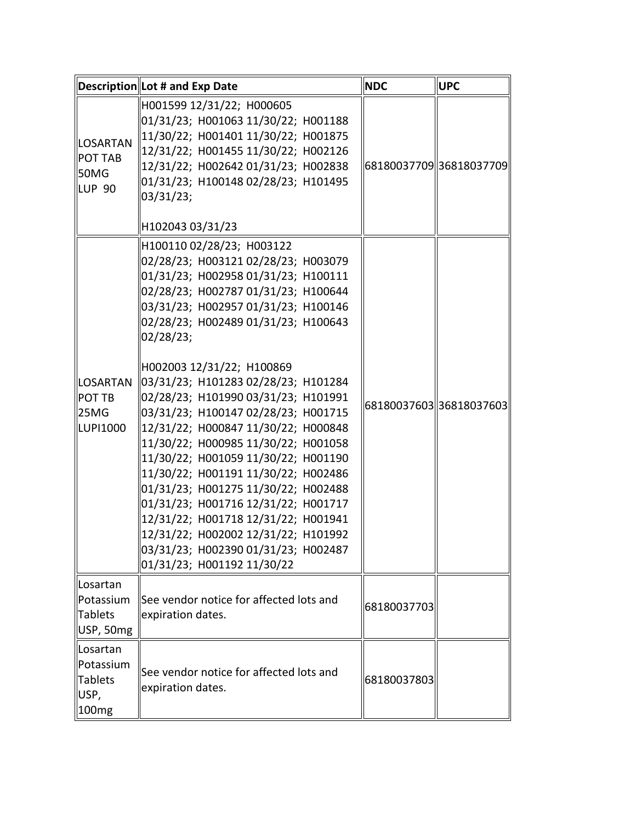|                                                             | Description Lot # and Exp Date                                                                                                                                                                                                                                                                                                                                                                                                                                                                                                                                                                                                                                                                                                                                                           | <b>NDC</b>  | <b>UPC</b>              |
|-------------------------------------------------------------|------------------------------------------------------------------------------------------------------------------------------------------------------------------------------------------------------------------------------------------------------------------------------------------------------------------------------------------------------------------------------------------------------------------------------------------------------------------------------------------------------------------------------------------------------------------------------------------------------------------------------------------------------------------------------------------------------------------------------------------------------------------------------------------|-------------|-------------------------|
| <b>LOSARTAN</b><br><b>POT TAB</b><br>50MG<br>LUP 90         | H001599 12/31/22; H000605<br>01/31/23; H001063 11/30/22; H001188<br>11/30/22; H001401 11/30/22; H001875<br>12/31/22; H001455 11/30/22; H002126<br>12/31/22; H002642 01/31/23; H002838<br>01/31/23; H100148 02/28/23; H101495<br>03/31/23;<br>H102043 03/31/23                                                                                                                                                                                                                                                                                                                                                                                                                                                                                                                            |             | 6818003770936818037709  |
| <b>LOSARTAN</b><br><b>POT TB</b><br><b>25MG</b><br>LUP11000 | H100110 02/28/23; H003122<br>02/28/23; H003121 02/28/23; H003079<br>01/31/23; H002958 01/31/23; H100111<br>02/28/23; H002787 01/31/23; H100644<br>03/31/23; H002957 01/31/23; H100146<br>02/28/23; H002489 01/31/23; H100643<br>02/28/23;<br>H002003 12/31/22; H100869<br>03/31/23; H101283 02/28/23; H101284<br>02/28/23; H101990 03/31/23; H101991<br>03/31/23; H100147 02/28/23; H001715<br>12/31/22; H000847 11/30/22; H000848<br>11/30/22; H000985 11/30/22; H001058<br>11/30/22; H001059 11/30/22; H001190<br>11/30/22; H001191 11/30/22; H002486<br>01/31/23; H001275 11/30/22; H002488<br>01/31/23; H001716 12/31/22; H001717<br>12/31/22; H001718 12/31/22; H001941<br>12/31/22; H002002 12/31/22; H101992<br>03/31/23; H002390 01/31/23; H002487<br>01/31/23; H001192 11/30/22 |             | 68180037603336818037603 |
| llLosartan<br>Potassium<br>Tablets<br>USP, 50mg             | See vendor notice for affected lots and<br>expiration dates.                                                                                                                                                                                                                                                                                                                                                                                                                                                                                                                                                                                                                                                                                                                             | 68180037703 |                         |
| Losartan<br>Potassium<br>Tablets<br>USP,<br>∥100mg          | See vendor notice for affected lots and<br>expiration dates.                                                                                                                                                                                                                                                                                                                                                                                                                                                                                                                                                                                                                                                                                                                             | 68180037803 |                         |